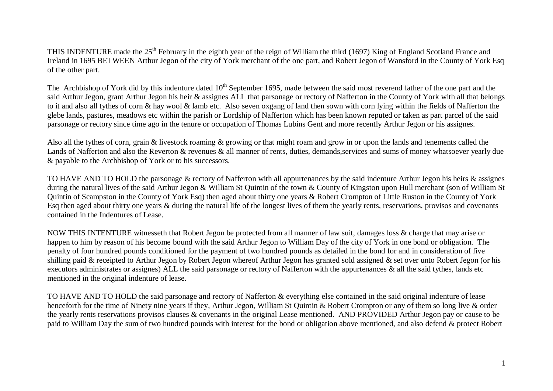THIS INDENTURE made the 25<sup>th</sup> February in the eighth year of the reign of William the third (1697) King of England Scotland France and Ireland in 1695 BETWEEN Arthur Jegon of the city of York merchant of the one part, and Robert Jegon of Wansford in the County of York Esq of the other part.

The Archbishop of York did by this indenture dated  $10<sup>th</sup>$  September 1695, made between the said most reverend father of the one part and the said Arthur Jegon, grant Arthur Jegon his heir & assignes ALL that parsonage or rectory of Nafferton in the County of York with all that belongs to it and also all tythes of corn & hay wool & lamb etc. Also seven oxgang of land then sown with corn lying within the fields of Nafferton the glebe lands, pastures, meadows etc within the parish or Lordship of Nafferton which has been known reputed or taken as part parcel of the said parsonage or rectory since time ago in the tenure or occupation of Thomas Lubins Gent and more recently Arthur Jegon or his assignes.

Also all the tythes of corn, grain & livestock roaming & growing or that might roam and grow in or upon the lands and tenements called the Lands of Nafferton and also the Reverton & revenues & all manner of rents, duties, demands, services and sums of money whatsoever yearly due & payable to the Archbishop of York or to his successors.

TO HAVE AND TO HOLD the parsonage & rectory of Nafferton with all appurtenances by the said indenture Arthur Jegon his heirs & assignes during the natural lives of the said Arthur Jegon & William St Quintin of the town & County of Kingston upon Hull merchant (son of William St Quintin of Scampston in the County of York Esq) then aged about thirty one years & Robert Crompton of Little Ruston in the County of York Esq then aged about thirty one years & during the natural life of the longest lives of them the yearly rents, reservations, provisos and covenants contained in the Indentures of Lease.

NOW THIS INTENTURE witnesseth that Robert Jegon be protected from all manner of law suit, damages loss & charge that may arise or happen to him by reason of his become bound with the said Arthur Jegon to William Day of the city of York in one bond or obligation. The penalty of four hundred pounds conditioned for the payment of two hundred pounds as detailed in the bond for and in consideration of five shilling paid & receipted to Arthur Jegon by Robert Jegon whereof Arthur Jegon has granted sold assigned & set over unto Robert Jegon (or his executors administrates or assignes) ALL the said parsonage or rectory of Nafferton with the appurtenances & all the said tythes, lands etc mentioned in the original indenture of lease.

TO HAVE AND TO HOLD the said parsonage and rectory of Nafferton & everything else contained in the said original indenture of lease henceforth for the time of Ninety nine years if they, Arthur Jegon, William St Quintin & Robert Crompton or any of them so long live & order the yearly rents reservations provisos clauses & covenants in the original Lease mentioned. AND PROVIDED Arthur Jegon pay or cause to be paid to William Day the sum of two hundred pounds with interest for the bond or obligation above mentioned, and also defend & protect Robert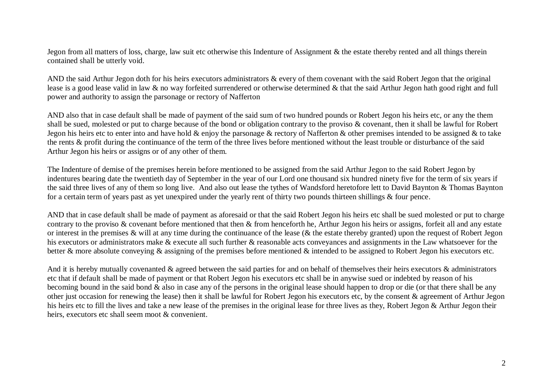Jegon from all matters of loss, charge, law suit etc otherwise this Indenture of Assignment & the estate thereby rented and all things therein contained shall be utterly void.

AND the said Arthur Jegon doth for his heirs executors administrators & every of them covenant with the said Robert Jegon that the original lease is a good lease valid in law & no way forfeited surrendered or otherwise determined & that the said Arthur Jegon hath good right and full power and authority to assign the parsonage or rectory of Nafferton

AND also that in case default shall be made of payment of the said sum of two hundred pounds or Robert Jegon his heirs etc, or any the them shall be sued, molested or put to charge because of the bond or obligation contrary to the proviso & covenant, then it shall be lawful for Robert Jegon his heirs etc to enter into and have hold & enjoy the parsonage & rectory of Nafferton & other premises intended to be assigned & to take the rents & profit during the continuance of the term of the three lives before mentioned without the least trouble or disturbance of the said Arthur Jegon his heirs or assigns or of any other of them.

The Indenture of demise of the premises herein before mentioned to be assigned from the said Arthur Jegon to the said Robert Jegon by indentures bearing date the twentieth day of September in the year of our Lord one thousand six hundred ninety five for the term of six years if the said three lives of any of them so long live. And also out lease the tythes of Wandsford heretofore lett to David Baynton & Thomas Baynton for a certain term of years past as yet unexpired under the yearly rent of thirty two pounds thirteen shillings & four pence.

AND that in case default shall be made of payment as aforesaid or that the said Robert Jegon his heirs etc shall be sued molested or put to charge contrary to the proviso & covenant before mentioned that then & from henceforth he, Arthur Jegon his heirs or assigns, forfeit all and any estate or interest in the premises & will at any time during the continuance of the lease (& the estate thereby granted) upon the request of Robert Jegon his executors or administrators make & execute all such further & reasonable acts conveyances and assignments in the Law whatsoever for the better & more absolute conveying & assigning of the premises before mentioned & intended to be assigned to Robert Jegon his executors etc.

And it is hereby mutually covenanted & agreed between the said parties for and on behalf of themselves their heirs executors & administrators etc that if default shall be made of payment or that Robert Jegon his executors etc shall be in anywise sued or indebted by reason of his becoming bound in the said bond & also in case any of the persons in the original lease should happen to drop or die (or that there shall be any other just occasion for renewing the lease) then it shall be lawful for Robert Jegon his executors etc, by the consent & agreement of Arthur Jegon his heirs etc to fill the lives and take a new lease of the premises in the original lease for three lives as they, Robert Jegon & Arthur Jegon their heirs, executors etc shall seem moot & convenient.